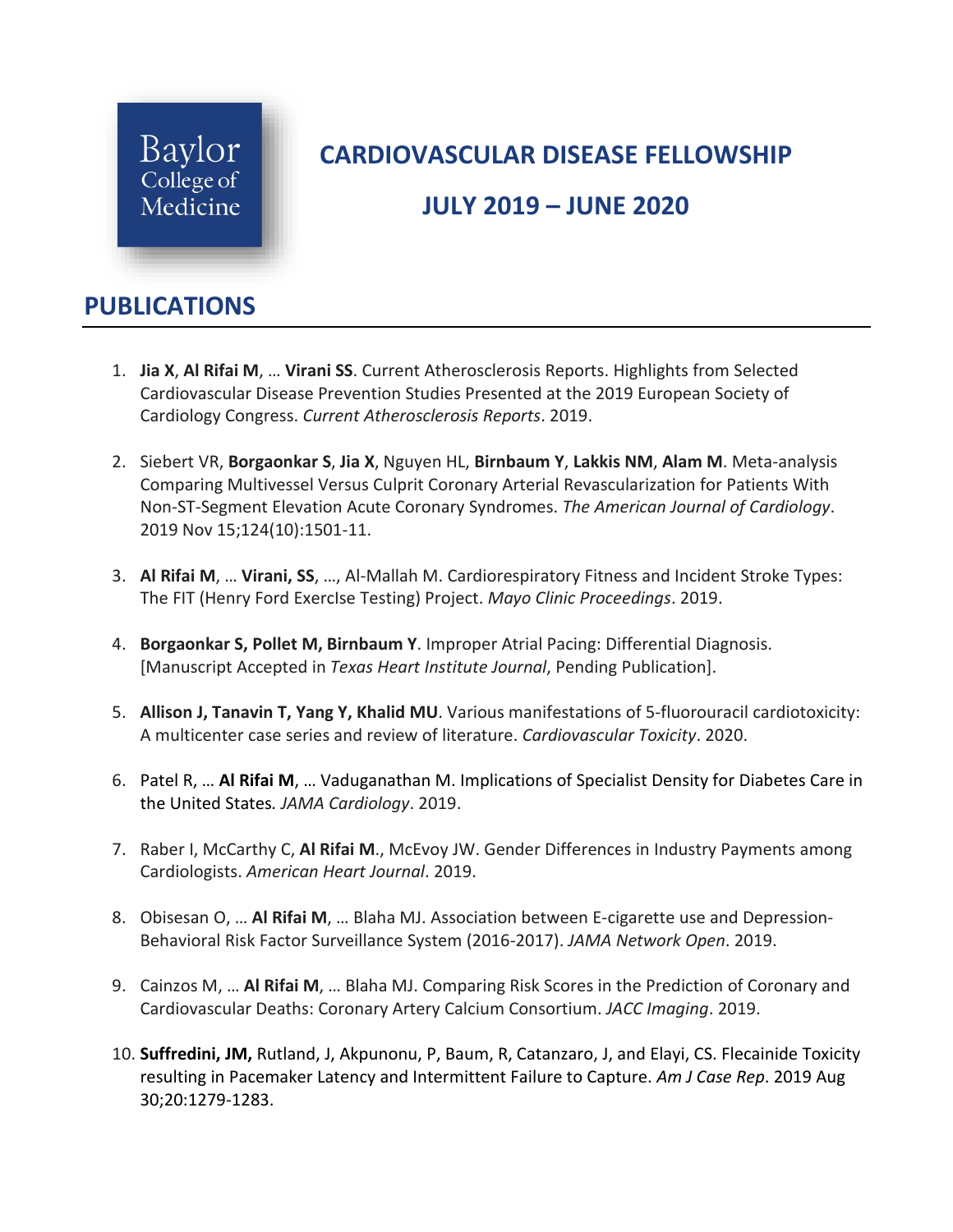

## **CARDIOVASCULAR DISEASE FELLOWSHIP**

## **JULY 2019 – JUNE 2020**

## **PUBLICATIONS**

- 1. **Jia X**, **Al Rifai M**, … **Virani SS**. Current Atherosclerosis Reports. Highlights from Selected Cardiovascular Disease Prevention Studies Presented at the 2019 European Society of Cardiology Congress. *Current Atherosclerosis Reports*. 2019.
- 2. Siebert VR, **Borgaonkar S**, **Jia X**, Nguyen HL, **Birnbaum Y**, **Lakkis NM**, **Alam M**. Meta-analysis Comparing Multivessel Versus Culprit Coronary Arterial Revascularization for Patients With Non-ST-Segment Elevation Acute Coronary Syndromes. *The American Journal of Cardiology*. 2019 Nov 15;124(10):1501-11.
- 3. **Al Rifai M**, … **Virani, SS**, …, Al-Mallah M. Cardiorespiratory Fitness and Incident Stroke Types: The FIT (Henry Ford ExercIse Testing) Project. *Mayo Clinic Proceedings*. 2019.
- 4. **Borgaonkar S, Pollet M, Birnbaum Y**. Improper Atrial Pacing: Differential Diagnosis. [Manuscript Accepted in *Texas Heart Institute Journal*, Pending Publication].
- 5. **Allison J, Tanavin T, Yang Y, Khalid MU**. Various manifestations of 5-fluorouracil cardiotoxicity: A multicenter case series and review of literature. *Cardiovascular Toxicity*. 2020.
- 6. Patel R, … **Al Rifai M**, … Vaduganathan M. Implications of Specialist Density for Diabetes Care in the United States*. JAMA Cardiology*. 2019.
- 7. Raber I, McCarthy C, **Al Rifai M**., McEvoy JW. Gender Differences in Industry Payments among Cardiologists. *American Heart Journal*. 2019.
- 8. Obisesan O, … **Al Rifai M**, … Blaha MJ. Association between E-cigarette use and Depression-Behavioral Risk Factor Surveillance System (2016-2017). *JAMA Network Open*. 2019.
- 9. Cainzos M, … **Al Rifai M**, … Blaha MJ. Comparing Risk Scores in the Prediction of Coronary and Cardiovascular Deaths: Coronary Artery Calcium Consortium. *JACC Imaging*. 2019.
- 10. **Suffredini, JM,** Rutland, J, Akpunonu, P, Baum, R, Catanzaro, J, and Elayi, CS. Flecainide Toxicity resulting in Pacemaker Latency and Intermittent Failure to Capture. *Am J Case Rep*. 2019 Aug 30;20:1279-1283.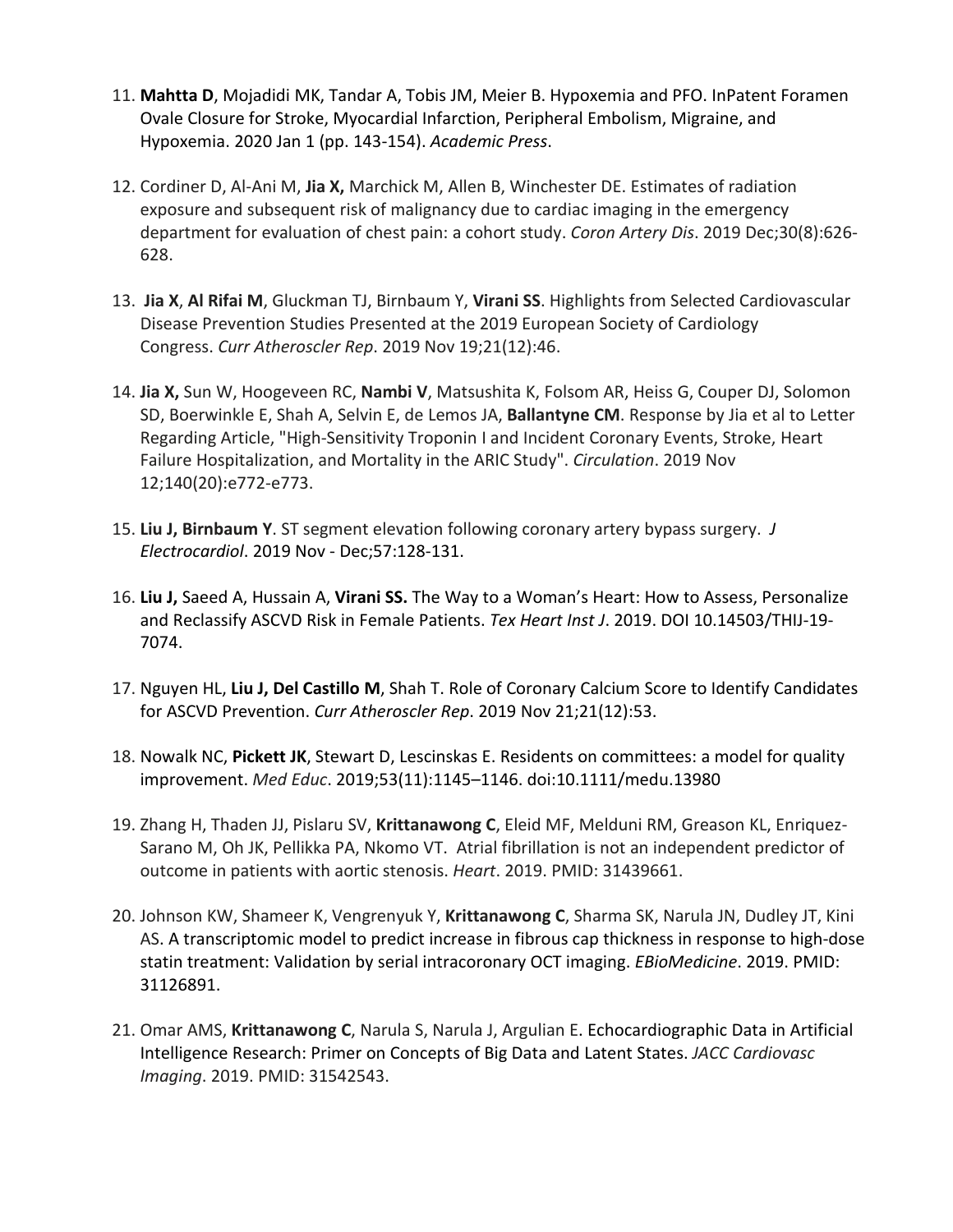- 11. **Mahtta D**, Mojadidi MK, Tandar A, Tobis JM, Meier B. Hypoxemia and PFO. InPatent Foramen Ovale Closure for Stroke, Myocardial Infarction, Peripheral Embolism, Migraine, and Hypoxemia. 2020 Jan 1 (pp. 143-154). *Academic Press*.
- 12. Cordiner D, Al-Ani M, **Jia X,** Marchick M, Allen B, Winchester DE. Estimates of radiation exposure and subsequent risk of malignancy due to cardiac imaging in the emergency department for evaluation of chest pain: a cohort study. *Coron Artery Dis*. 2019 Dec;30(8):626- 628.
- 13. **Jia X**, **Al Rifai M**, Gluckman TJ, Birnbaum Y, **Virani SS**. Highlights from Selected Cardiovascular Disease Prevention Studies Presented at the 2019 European Society of Cardiology Congress. *Curr Atheroscler Rep*. 2019 Nov 19;21(12):46.
- 14. **Jia X,** Sun W, Hoogeveen RC, **Nambi V**, Matsushita K, Folsom AR, Heiss G, Couper DJ, Solomon SD, Boerwinkle E, Shah A, Selvin E, de Lemos JA, **Ballantyne CM**. Response by Jia et al to Letter Regarding Article, "High-Sensitivity Troponin I and Incident Coronary Events, Stroke, Heart Failure Hospitalization, and Mortality in the ARIC Study". *Circulation*. 2019 Nov 12;140(20):e772-e773.
- 15. **Liu J, Birnbaum Y**. ST segment elevation following coronary artery bypass surgery. *[J](https://www.ncbi.nlm.nih.gov/pubmed/31629995) [Electrocardiol](https://www.ncbi.nlm.nih.gov/pubmed/31629995)*. 2019 Nov - Dec;57:128-131.
- 16. **Liu J,** Saeed A, Hussain A, **Virani SS.** The Way to a Woman's Heart: How to Assess, Personalize and Reclassify ASCVD Risk in Female Patients. *Tex Heart Inst J*. 2019. DOI 10.14503/THIJ-19- 7074.
- 17. Nguyen HL, **Liu J, Del Castillo M**, Shah T. Role of Coronary Calcium Score to Identify Candidates for ASCVD Prevention. *Curr Atheroscler Rep*. 2019 Nov 21;21(12):53.
- 18. Nowalk NC, **Pickett JK**, Stewart D, Lescinskas E. Residents on committees: a model for quality improvement. *Med Educ*. 2019;53(11):1145–1146. doi:10.1111/medu.13980
- 19. Zhang H, Thaden JJ, Pislaru SV, **Krittanawong C**, Eleid MF, Melduni RM, Greason KL, Enriquez-Sarano M, Oh JK, Pellikka PA, Nkomo VT. Atrial fibrillation is not an independent predictor of outcome in patients with aortic stenosis. *Heart*. 2019. PMID: 31439661.
- 20. Johnson KW, Shameer K, Vengrenyuk Y, **Krittanawong C**, Sharma SK, Narula JN, Dudley JT, Kini AS. A transcriptomic model to predict increase in fibrous cap thickness in response to high-dose statin treatment: Validation by serial intracoronary OCT imaging. *EBioMedicine*. 2019. PMID: 31126891.
- 21. Omar AMS, **Krittanawong C**, Narula S, Narula J, Argulian E. Echocardiographic Data in Artificial Intelligence Research: Primer on Concepts of Big Data and Latent States. *JACC Cardiovasc Imaging*. 2019. PMID: 31542543.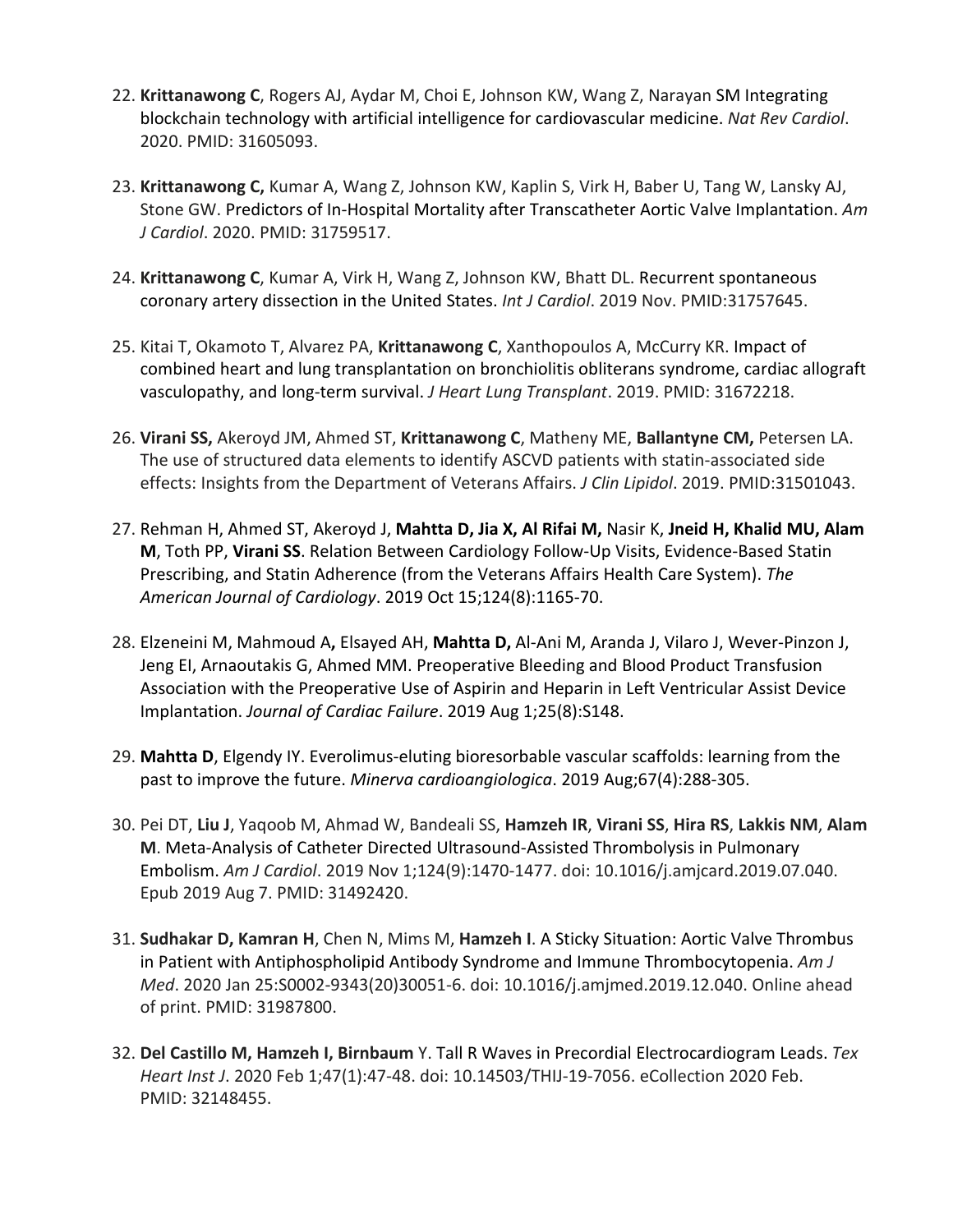- 22. **Krittanawong C**, Rogers AJ, Aydar M, Choi E, Johnson KW, Wang Z, Narayan SM Integrating blockchain technology with artificial intelligence for cardiovascular medicine. *Nat Rev Cardiol*. 2020. PMID: 31605093.
- 23. **Krittanawong C,** Kumar A, Wang Z, Johnson KW, Kaplin S, Virk H, Baber U, Tang W, Lansky AJ, Stone GW. Predictors of In-Hospital Mortality after Transcatheter Aortic Valve Implantation. *Am J Cardiol*. 2020. PMID: 31759517.
- 24. **Krittanawong C**, Kumar A, Virk H, Wang Z, Johnson KW, Bhatt DL. Recurrent spontaneous coronary artery dissection in the United States. *Int J Cardiol*. 2019 Nov. PMID:31757645.
- 25. Kitai T, Okamoto T, Alvarez PA, **Krittanawong C**, Xanthopoulos A, McCurry KR. Impact of combined heart and lung transplantation on bronchiolitis obliterans syndrome, cardiac allograft vasculopathy, and long-term survival. *J Heart Lung Transplant*. 2019. PMID: 31672218.
- 26. **Virani SS,** Akeroyd JM, Ahmed ST, **Krittanawong C**, Matheny ME, **Ballantyne CM,** Petersen LA. The use of structured data elements to identify ASCVD patients with statin-associated side effects: Insights from the Department of Veterans Affairs. *J Clin Lipidol*. 2019. PMID:31501043.
- 27. Rehman H, Ahmed ST, Akeroyd J, **Mahtta D, Jia X, Al Rifai M,** Nasir K, **Jneid H, Khalid MU, Alam M**, Toth PP, **Virani SS**. Relation Between Cardiology Follow-Up Visits, Evidence-Based Statin Prescribing, and Statin Adherence (from the Veterans Affairs Health Care System). *The American Journal of Cardiology*. 2019 Oct 15;124(8):1165-70.
- 28. Elzeneini M, Mahmoud A**,** Elsayed AH, **Mahtta D,** Al-Ani M, Aranda J, Vilaro J, Wever-Pinzon J, Jeng EI, Arnaoutakis G, Ahmed MM. Preoperative Bleeding and Blood Product Transfusion Association with the Preoperative Use of Aspirin and Heparin in Left Ventricular Assist Device Implantation. *Journal of Cardiac Failure*. 2019 Aug 1;25(8):S148.
- 29. **Mahtta D**, Elgendy IY. Everolimus-eluting bioresorbable vascular scaffolds: learning from the past to improve the future. *Minerva cardioangiologica*. 2019 Aug;67(4):288-305.
- 30. Pei DT, **Liu J**, Yaqoob M, Ahmad W, Bandeali SS, **Hamzeh IR**, **Virani SS**, **Hira RS**, **Lakkis NM**, **Alam M**. Meta-Analysis of Catheter Directed Ultrasound-Assisted Thrombolysis in Pulmonary Embolism. *Am J Cardiol*. 2019 Nov 1;124(9):1470-1477. doi: 10.1016/j.amjcard.2019.07.040. Epub 2019 Aug 7. PMID: 31492420.
- 31. **Sudhakar D, Kamran H**, Chen N, Mims M, **Hamzeh I**. A Sticky Situation: Aortic Valve Thrombus in Patient with Antiphospholipid Antibody Syndrome and Immune Thrombocytopenia. *Am J Med*. 2020 Jan 25:S0002-9343(20)30051-6. doi: 10.1016/j.amjmed.2019.12.040. Online ahead of print. PMID: 31987800.
- 32. **Del Castillo M, Hamzeh I, Birnbaum** Y. Tall R Waves in Precordial Electrocardiogram Leads. *Tex Heart Inst J*. 2020 Feb 1;47(1):47-48. doi: 10.14503/THIJ-19-7056. eCollection 2020 Feb. PMID: 32148455.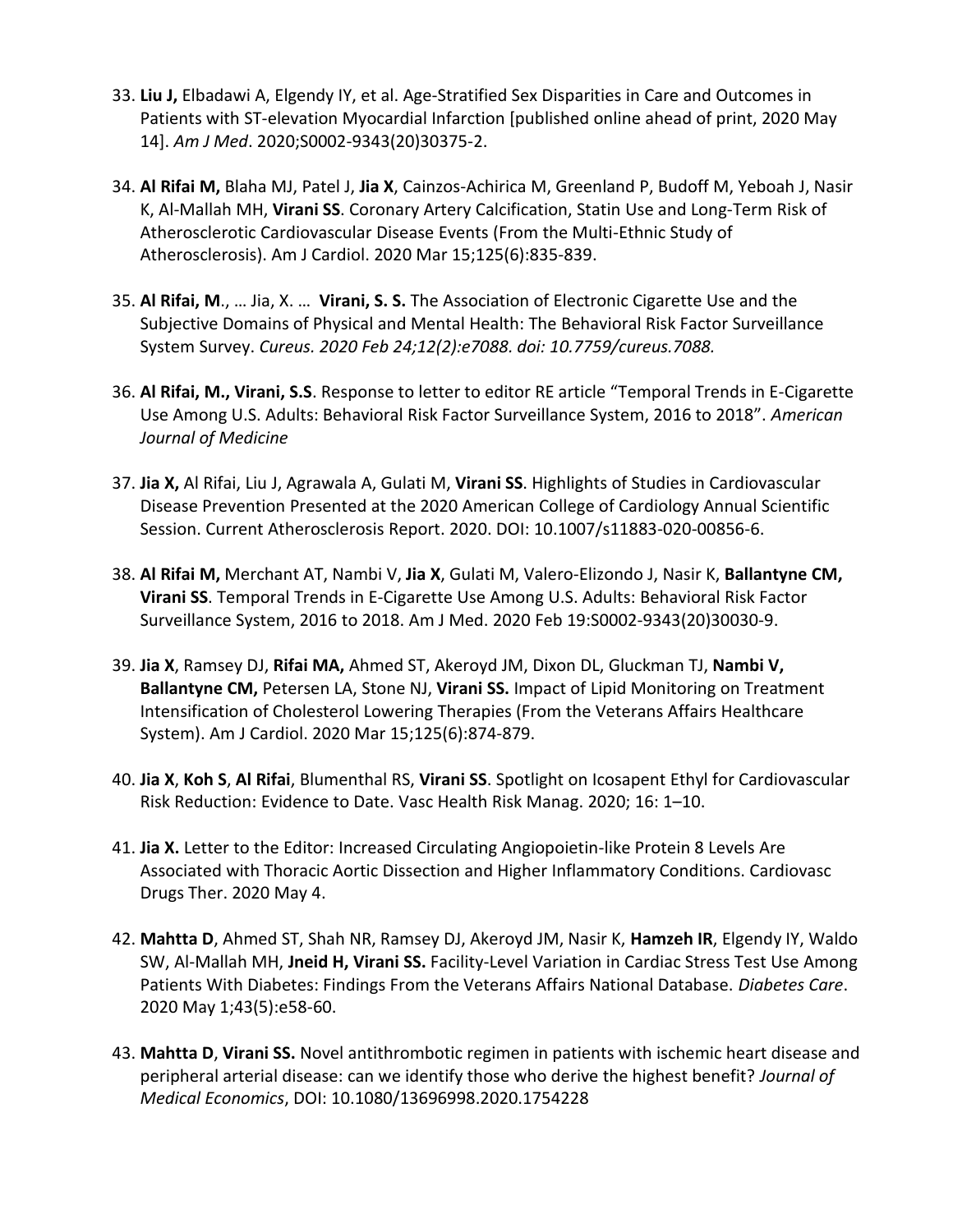- 33. **Liu J,** Elbadawi A, Elgendy IY, et al. Age-Stratified Sex Disparities in Care and Outcomes in Patients with ST-elevation Myocardial Infarction [published online ahead of print, 2020 May 14]. *Am J Med*. 2020;S0002-9343(20)30375-2.
- 34. **Al Rifai M,** Blaha MJ, Patel J, **Jia X**, Cainzos-Achirica M, Greenland P, Budoff M, Yeboah J, Nasir K, Al-Mallah MH, **Virani SS**. Coronary Artery Calcification, Statin Use and Long-Term Risk of Atherosclerotic Cardiovascular Disease Events (From the Multi-Ethnic Study of Atherosclerosis). Am J Cardiol. 2020 Mar 15;125(6):835-839.
- 35. **Al Rifai, M**., … Jia, X. … **Virani, S. S.** The Association of Electronic Cigarette Use and the Subjective Domains of Physical and Mental Health: The Behavioral Risk Factor Surveillance System Survey. *Cureus. 2020 Feb 24;12(2):e7088. doi: 10.7759/cureus.7088.*
- 36. **Al Rifai, M., Virani, S.S**. Response to letter to editor RE article "Temporal Trends in E-Cigarette Use Among U.S. Adults: Behavioral Risk Factor Surveillance System, 2016 to 2018". *American Journal of Medicine*
- 37. **Jia X,** Al Rifai, Liu J, Agrawala A, Gulati M, **Virani SS**. Highlights of Studies in Cardiovascular Disease Prevention Presented at the 2020 American College of Cardiology Annual Scientific Session. Current Atherosclerosis Report. 2020. DOI: 10.1007/s11883-020-00856-6.
- 38. **Al Rifai M,** Merchant AT, Nambi V, **Jia X**, Gulati M, Valero-Elizondo J, Nasir K, **Ballantyne CM, Virani SS**. Temporal Trends in E-Cigarette Use Among U.S. Adults: Behavioral Risk Factor Surveillance System, 2016 to 2018. Am J Med. 2020 Feb 19:S0002-9343(20)30030-9.
- 39. **Jia X**, Ramsey DJ, **Rifai MA,** Ahmed ST, Akeroyd JM, Dixon DL, Gluckman TJ, **Nambi V, Ballantyne CM,** Petersen LA, Stone NJ, **Virani SS.** Impact of Lipid Monitoring on Treatment Intensification of Cholesterol Lowering Therapies (From the Veterans Affairs Healthcare System). Am J Cardiol. 2020 Mar 15;125(6):874-879.
- 40. **Jia X**, **Koh S**, **Al Rifai**, Blumenthal RS, **Virani SS**. Spotlight on Icosapent Ethyl for Cardiovascular Risk Reduction: Evidence to Date. Vasc Health Risk Manag. 2020; 16: 1–10.
- 41. **Jia X.** Letter to the Editor: Increased Circulating Angiopoietin-like Protein 8 Levels Are Associated with Thoracic Aortic Dissection and Higher Inflammatory Conditions. Cardiovasc Drugs Ther. 2020 May 4.
- 42. **Mahtta D**, Ahmed ST, Shah NR, Ramsey DJ, Akeroyd JM, Nasir K, **Hamzeh IR**, Elgendy IY, Waldo SW, Al-Mallah MH, **Jneid H, Virani SS.** Facility-Level Variation in Cardiac Stress Test Use Among Patients With Diabetes: Findings From the Veterans Affairs National Database. *Diabetes Care*. 2020 May 1;43(5):e58-60.
- 43. **Mahtta D**, **Virani SS.** Novel antithrombotic regimen in patients with ischemic heart disease and peripheral arterial disease: can we identify those who derive the highest benefit? *Journal of Medical Economics*, DOI: 10.1080/13696998.2020.1754228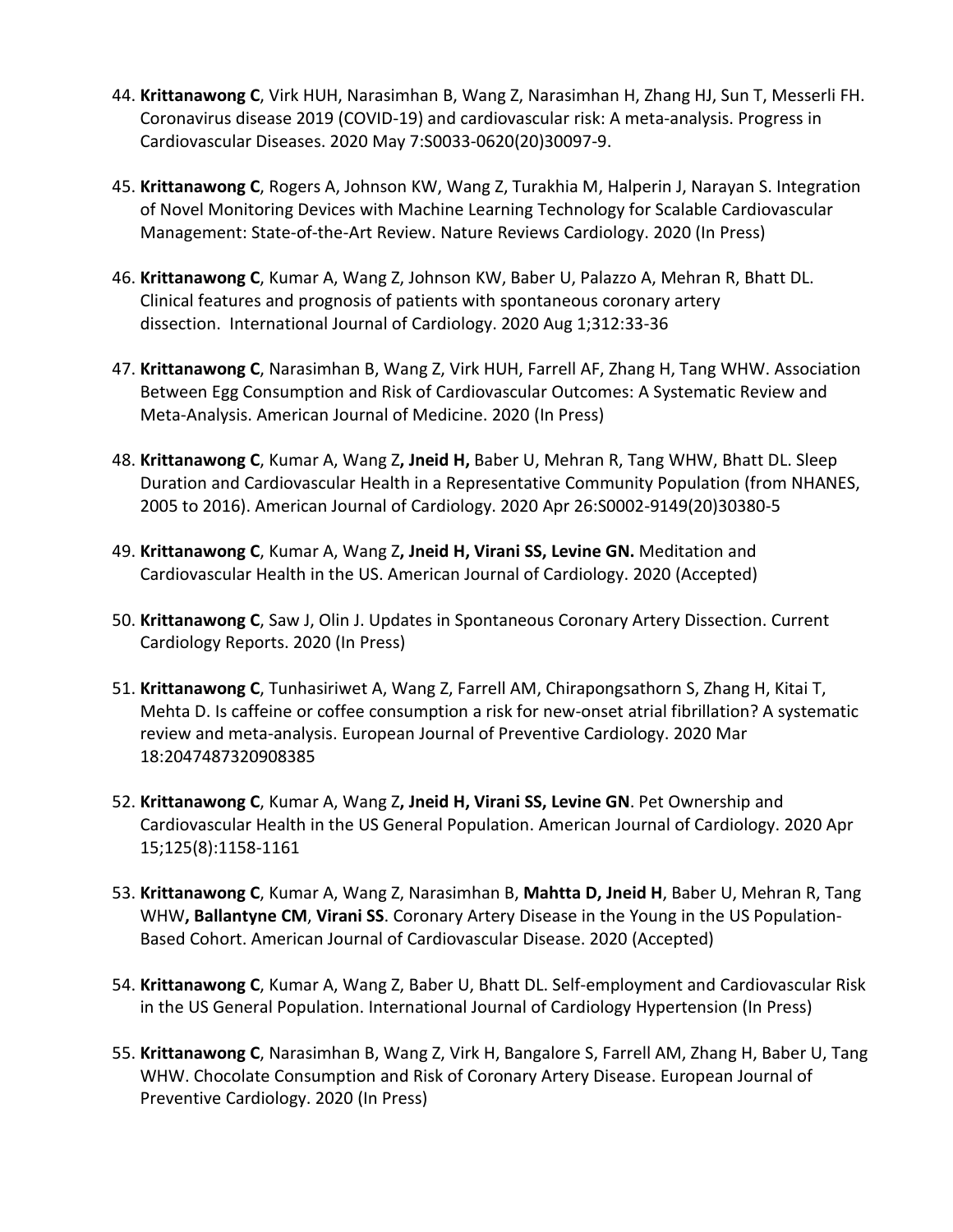- 44. **Krittanawong C**, Virk HUH, Narasimhan B, Wang Z, Narasimhan H, Zhang HJ, Sun T, Messerli FH. Coronavirus disease 2019 (COVID-19) and cardiovascular risk: A meta-analysis. Progress in Cardiovascular Diseases. 2020 May 7:S0033-0620(20)30097-9.
- 45. **Krittanawong C**, Rogers A, Johnson KW, Wang Z, Turakhia M, Halperin J, Narayan S. Integration of Novel Monitoring Devices with Machine Learning Technology for Scalable Cardiovascular Management: State-of-the-Art Review. Nature Reviews Cardiology. 2020 (In Press)
- 46. **Krittanawong C**, Kumar A, Wang Z, Johnson KW, Baber U, Palazzo A, Mehran R, Bhatt DL. Clinical features and prognosis of patients with spontaneous coronary artery dissection. International Journal of Cardiology. 2020 Aug 1;312:33-36
- 47. **Krittanawong C**, Narasimhan B, Wang Z, Virk HUH, Farrell AF, Zhang H, Tang WHW. Association Between Egg Consumption and Risk of Cardiovascular Outcomes: A Systematic Review and Meta-Analysis. American Journal of Medicine. 2020 (In Press)
- 48. **Krittanawong C**, Kumar A, Wang Z**, Jneid H,** Baber U, Mehran R, Tang WHW, Bhatt DL. Sleep Duration and Cardiovascular Health in a Representative Community Population (from NHANES, 2005 to 2016). American Journal of Cardiology. 2020 Apr 26:S0002-9149(20)30380-5
- 49. **Krittanawong C**, Kumar A, Wang Z**, Jneid H, Virani SS, Levine GN.** Meditation and Cardiovascular Health in the US. American Journal of Cardiology. 2020 (Accepted)
- 50. **Krittanawong C**, Saw J, Olin J. Updates in Spontaneous Coronary Artery Dissection. Current Cardiology Reports. 2020 (In Press)
- 51. **Krittanawong C**, Tunhasiriwet A, Wang Z, Farrell AM, Chirapongsathorn S, Zhang H, Kitai T, Mehta D. Is caffeine or coffee consumption a risk for new-onset atrial fibrillation? A systematic review and meta-analysis. European Journal of Preventive Cardiology. 2020 Mar 18:2047487320908385
- 52. **Krittanawong C**, Kumar A, Wang Z**, Jneid H, Virani SS, Levine GN**. Pet Ownership and Cardiovascular Health in the US General Population. American Journal of Cardiology. 2020 Apr 15;125(8):1158-1161
- 53. **Krittanawong C**, Kumar A, Wang Z, Narasimhan B, **Mahtta D, Jneid H**, Baber U, Mehran R, Tang WHW**, Ballantyne CM**, **Virani SS**. Coronary Artery Disease in the Young in the US Population-Based Cohort. American Journal of Cardiovascular Disease. 2020 (Accepted)
- 54. **Krittanawong C**, Kumar A, Wang Z, Baber U, Bhatt DL. Self-employment and Cardiovascular Risk in the US General Population. International Journal of Cardiology Hypertension (In Press)
- 55. **Krittanawong C**, Narasimhan B, Wang Z, Virk H, Bangalore S, Farrell AM, Zhang H, Baber U, Tang WHW. Chocolate Consumption and Risk of Coronary Artery Disease. European Journal of Preventive Cardiology. 2020 (In Press)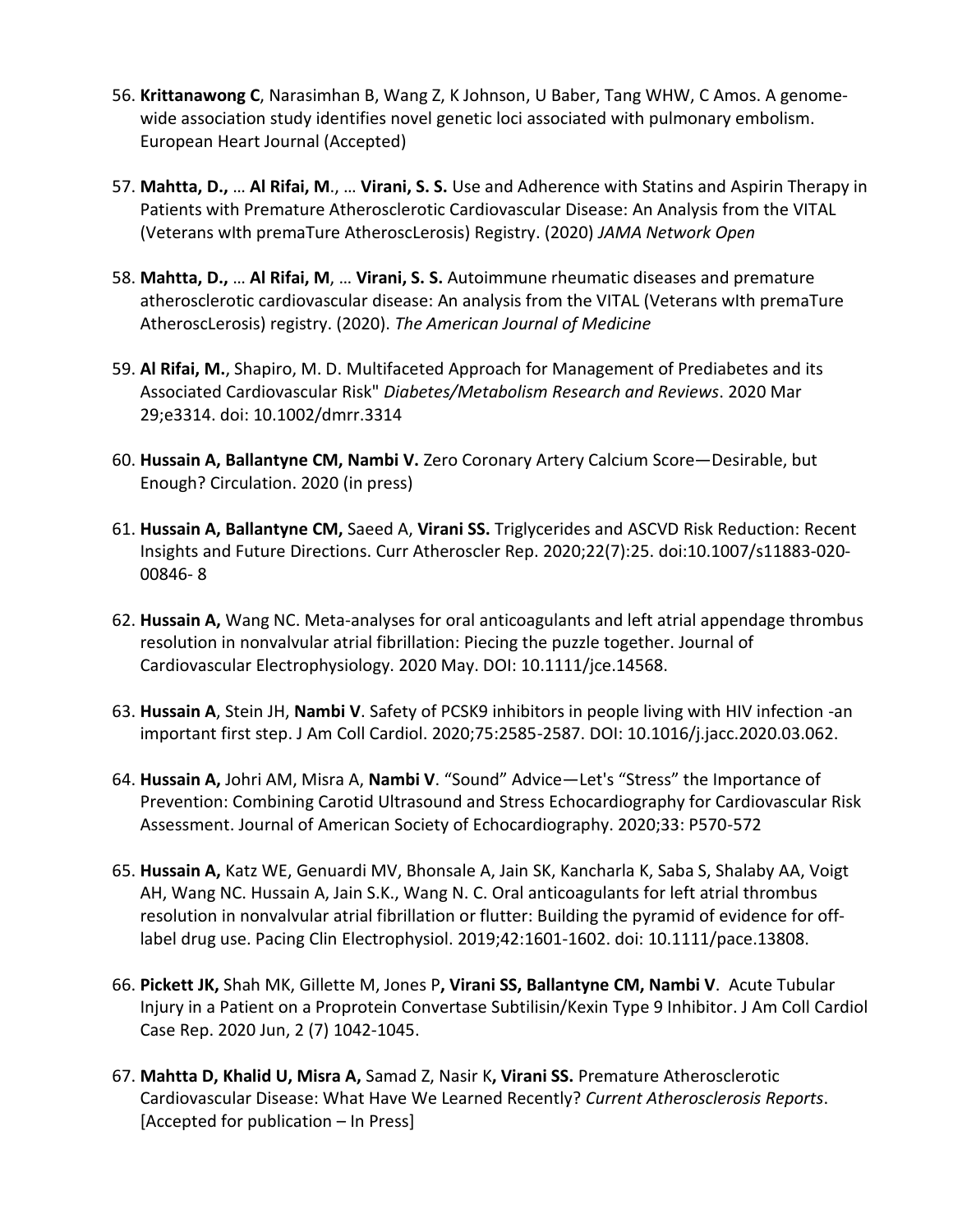- 56. **Krittanawong C**, Narasimhan B, Wang Z, K Johnson, U Baber, Tang WHW, C Amos. A genomewide association study identifies novel genetic loci associated with pulmonary embolism. European Heart Journal (Accepted)
- 57. **Mahtta, D.,** … **Al Rifai, M**., … **Virani, S. S.** Use and Adherence with Statins and Aspirin Therapy in Patients with Premature Atherosclerotic Cardiovascular Disease: An Analysis from the VITAL (Veterans wIth premaTure AtheroscLerosis) Registry. (2020) *JAMA Network Open*
- 58. **Mahtta, D.,** … **Al Rifai, M**, … **Virani, S. S.** Autoimmune rheumatic diseases and premature atherosclerotic cardiovascular disease: An analysis from the VITAL (Veterans wIth premaTure AtheroscLerosis) registry. (2020). *The American Journal of Medicine*
- 59. **Al Rifai, M.**, Shapiro, M. D. Multifaceted Approach for Management of Prediabetes and its Associated Cardiovascular Risk" *Diabetes/Metabolism Research and Reviews*. 2020 Mar 29;e3314. doi: 10.1002/dmrr.3314
- 60. **Hussain A, Ballantyne CM, Nambi V.** Zero Coronary Artery Calcium Score—Desirable, but Enough? Circulation. 2020 (in press)
- 61. **Hussain A, Ballantyne CM,** Saeed A, **Virani SS.** Triglycerides and ASCVD Risk Reduction: Recent Insights and Future Directions. Curr Atheroscler Rep. 2020;22(7):25. doi:10.1007/s11883-020- 00846- 8
- 62. **Hussain A,** Wang NC. Meta-analyses for oral anticoagulants and left atrial appendage thrombus resolution in nonvalvular atrial fibrillation: Piecing the puzzle together. Journal of Cardiovascular Electrophysiology. 2020 May. DOI: 10.1111/jce.14568.
- 63. **Hussain A**, Stein JH, **Nambi V**. Safety of PCSK9 inhibitors in people living with HIV infection -an important first step. J Am Coll Cardiol. 2020;75:2585-2587. DOI: 10.1016/j.jacc.2020.03.062.
- 64. **Hussain A,** Johri AM, Misra A, **Nambi V**. "Sound" Advice—Let's "Stress" the Importance of Prevention: Combining Carotid Ultrasound and Stress Echocardiography for Cardiovascular Risk Assessment. Journal of American Society of Echocardiography. 2020;33: P570-572
- 65. **Hussain A,** Katz WE, Genuardi MV, Bhonsale A, Jain SK, Kancharla K, Saba S, Shalaby AA, Voigt AH, Wang NC. Hussain A, Jain S.K., Wang N. C. Oral anticoagulants for left atrial thrombus resolution in nonvalvular atrial fibrillation or flutter: Building the pyramid of evidence for offlabel drug use. Pacing Clin Electrophysiol. 2019;42:1601-1602. doi: 10.1111/pace.13808.
- 66. **Pickett JK,** Shah MK, Gillette M, Jones P**, Virani SS, Ballantyne CM, Nambi V**. Acute Tubular Injury in a Patient on a Proprotein Convertase Subtilisin/Kexin Type 9 Inhibitor. J Am Coll Cardiol Case Rep. 2020 Jun, 2 (7) 1042-1045.
- 67. **Mahtta D, Khalid U, Misra A,** Samad Z, Nasir K**, Virani SS.** Premature Atherosclerotic Cardiovascular Disease: What Have We Learned Recently? *Current Atherosclerosis Reports*. [Accepted for publication – In Press]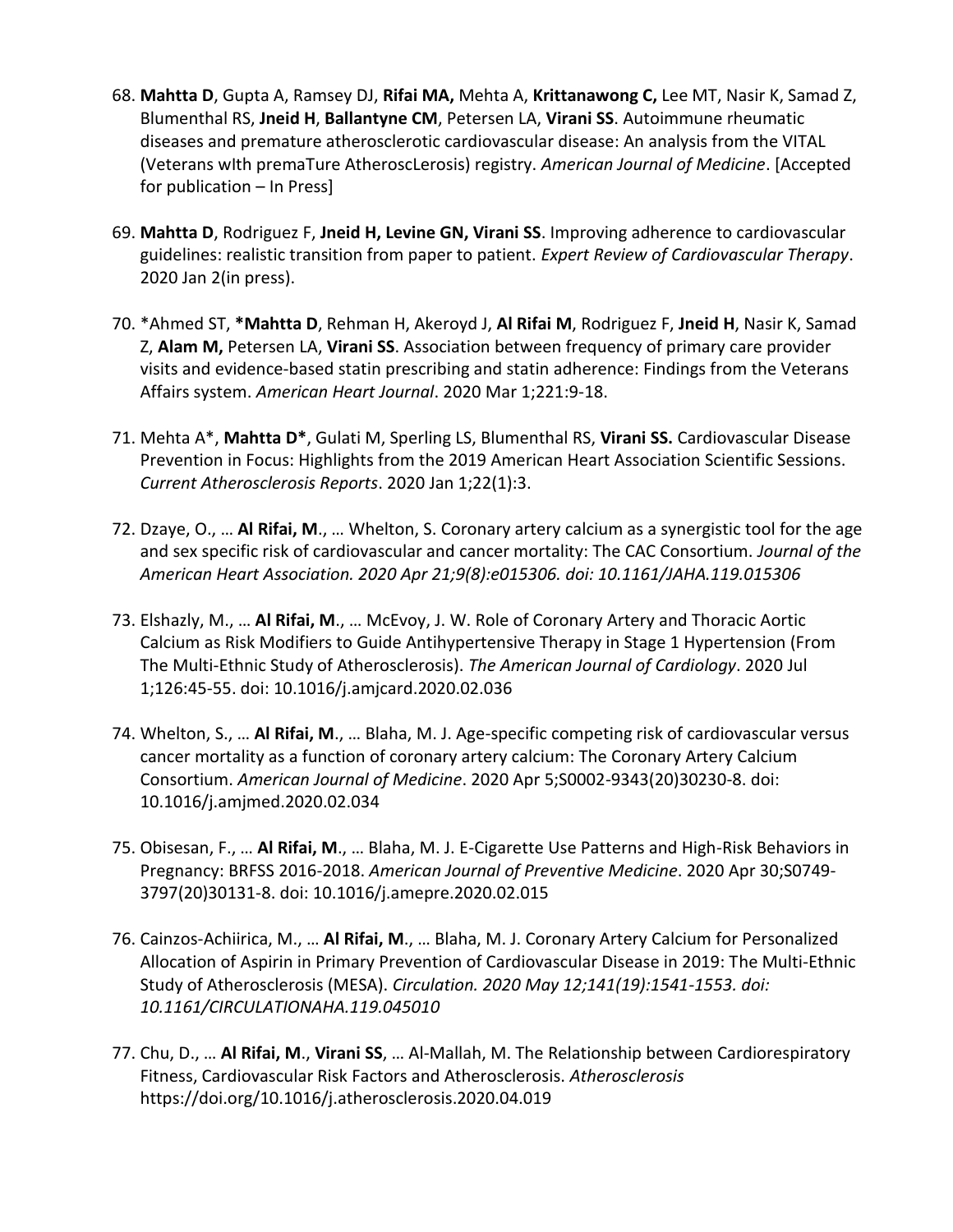- 68. **Mahtta D**, Gupta A, Ramsey DJ, **Rifai MA,** Mehta A, **Krittanawong C,** Lee MT, Nasir K, Samad Z, Blumenthal RS, **Jneid H**, **Ballantyne CM**, Petersen LA, **Virani SS**. Autoimmune rheumatic diseases and premature atherosclerotic cardiovascular disease: An analysis from the VITAL (Veterans wIth premaTure AtheroscLerosis) registry. *American Journal of Medicine*. [Accepted for publication – In Press]
- 69. **Mahtta D**, Rodriguez F, **Jneid H, Levine GN, Virani SS**. Improving adherence to cardiovascular guidelines: realistic transition from paper to patient. *Expert Review of Cardiovascular Therapy*. 2020 Jan 2(in press).
- 70. \*Ahmed ST, **\*Mahtta D**, Rehman H, Akeroyd J, **Al Rifai M**, Rodriguez F, **Jneid H**, Nasir K, Samad Z, **Alam M,** Petersen LA, **Virani SS**. Association between frequency of primary care provider visits and evidence-based statin prescribing and statin adherence: Findings from the Veterans Affairs system. *American Heart Journal*. 2020 Mar 1;221:9-18.
- 71. Mehta A\*, **Mahtta D\***, Gulati M, Sperling LS, Blumenthal RS, **Virani SS.** Cardiovascular Disease Prevention in Focus: Highlights from the 2019 American Heart Association Scientific Sessions. *Current Atherosclerosis Reports*. 2020 Jan 1;22(1):3.
- 72. Dzaye, O., … **Al Rifai, M**., … Whelton, S. Coronary artery calcium as a synergistic tool for the age and sex specific risk of cardiovascular and cancer mortality: The CAC Consortium. *Journal of the American Heart Association. 2020 Apr 21;9(8):e015306. doi: 10.1161/JAHA.119.015306*
- 73. Elshazly, M., … **Al Rifai, M**., … McEvoy, J. W. Role of Coronary Artery and Thoracic Aortic Calcium as Risk Modifiers to Guide Antihypertensive Therapy in Stage 1 Hypertension (From The Multi-Ethnic Study of Atherosclerosis). *The American Journal of Cardiology*. 2020 Jul 1;126:45-55. doi: 10.1016/j.amjcard.2020.02.036
- 74. Whelton, S., … **Al Rifai, M**., … Blaha, M. J. Age-specific competing risk of cardiovascular versus cancer mortality as a function of coronary artery calcium: The Coronary Artery Calcium Consortium. *American Journal of Medicine*. 2020 Apr 5;S0002-9343(20)30230-8. doi: 10.1016/j.amjmed.2020.02.034
- 75. Obisesan, F., … **Al Rifai, M**., … Blaha, M. J. E-Cigarette Use Patterns and High-Risk Behaviors in Pregnancy: BRFSS 2016-2018. *American Journal of Preventive Medicine*. 2020 Apr 30;S0749- 3797(20)30131-8. doi: 10.1016/j.amepre.2020.02.015
- 76. Cainzos-Achiirica, M., … **Al Rifai, M**., … Blaha, M. J. Coronary Artery Calcium for Personalized Allocation of Aspirin in Primary Prevention of Cardiovascular Disease in 2019: The Multi-Ethnic Study of Atherosclerosis (MESA). *Circulation. 2020 May 12;141(19):1541-1553. doi: 10.1161/CIRCULATIONAHA.119.045010*
- 77. Chu, D., … **Al Rifai, M**., **Virani SS**, … Al-Mallah, M. The Relationship between Cardiorespiratory Fitness, Cardiovascular Risk Factors and Atherosclerosis. *Atherosclerosis* https://doi.org/10.1016/j.atherosclerosis.2020.04.019